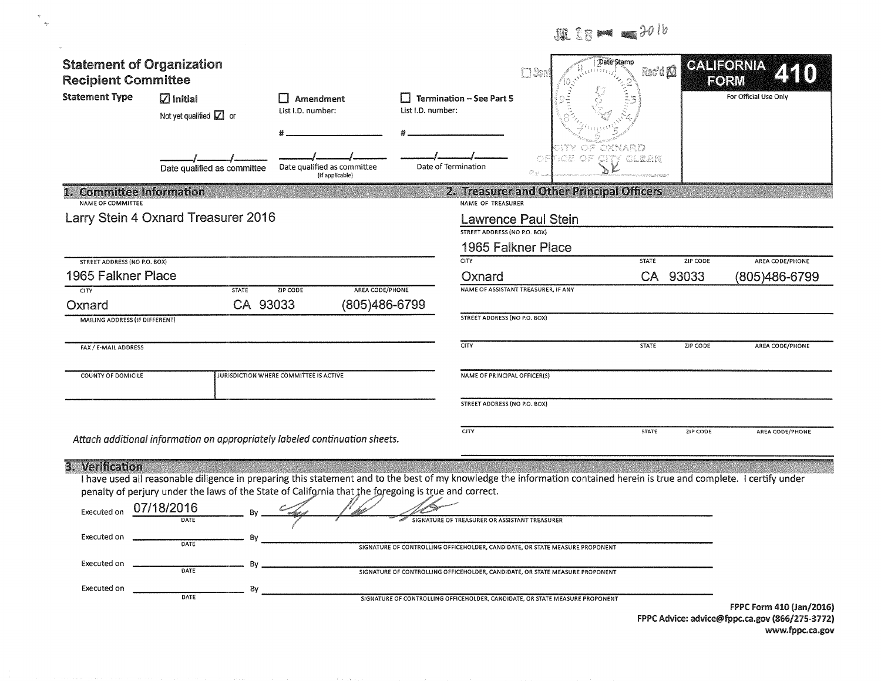|                                                                             |                                                                                                                                                                                                                                                                                                                             |                                                |                                                                                                                                                                                                                                                                                             |                                                  | 題 28 mm = 2016                     |                 |                          |
|-----------------------------------------------------------------------------|-----------------------------------------------------------------------------------------------------------------------------------------------------------------------------------------------------------------------------------------------------------------------------------------------------------------------------|------------------------------------------------|---------------------------------------------------------------------------------------------------------------------------------------------------------------------------------------------------------------------------------------------------------------------------------------------|--------------------------------------------------|------------------------------------|-----------------|--------------------------|
| <b>Statement of Organization</b><br><b>Recipient Committee</b>              |                                                                                                                                                                                                                                                                                                                             |                                                |                                                                                                                                                                                                                                                                                             | II Ser                                           | Date Stamp<br>Rec'd <sup>[0]</sup> |                 | CALIFORNIA<br>FORM       |
| <b>Statement Type</b>                                                       | $\boxtimes$ Initial<br>Not yet qualified $\boxed{\angle}$ or                                                                                                                                                                                                                                                                | <b>Amendment</b><br>List I.D. number:          | <b>Termination - See Part 5</b><br>$\perp$<br>List I.D. number:                                                                                                                                                                                                                             |                                                  |                                    |                 | For Official Use Only    |
|                                                                             | Date qualified as committee                                                                                                                                                                                                                                                                                                 | Date qualified as committee<br>(If applicable) | Date of Termination                                                                                                                                                                                                                                                                         | ಾಂಪಿ ೧೯<br>08<br>Br.                             | XNARD<br><b>CITY CLEBK</b>         |                 |                          |
| <b>Committee Information</b><br>NAME OF COMMITTEE                           |                                                                                                                                                                                                                                                                                                                             |                                                | NAME OF TREASURER                                                                                                                                                                                                                                                                           | 2. Treasurer and Other Principal Officers        |                                    |                 |                          |
|                                                                             | Larry Stein 4 Oxnard Treasurer 2016                                                                                                                                                                                                                                                                                         |                                                | STREET ADDRESS (NO P.O. BOX)                                                                                                                                                                                                                                                                | <b>Lawrence Paul Stein</b><br>1965 Falkner Place |                                    |                 |                          |
| <b>STREET ADDRESS (NO P.O. BOX)</b>                                         |                                                                                                                                                                                                                                                                                                                             |                                                | <b>CITY</b>                                                                                                                                                                                                                                                                                 |                                                  | <b>STATE</b>                       | ZIP CODE        | AREA CODE/PHONE          |
| 1965 Falkner Place<br><b>CITY</b>                                           | <b>STATE</b>                                                                                                                                                                                                                                                                                                                | AREA CODE/PHONE<br>ZIP CODE                    | Oxnard                                                                                                                                                                                                                                                                                      | NAME OF ASSISTANT TREASURER, IF ANY              | <b>CA</b>                          | 93033           | (805)486-6799            |
| Oxnard<br>MAILING ADDRESS (IF DIFFERENT)                                    | CA 93033                                                                                                                                                                                                                                                                                                                    | (805)486-6799                                  | STREET ADDRESS (NO P.O. BOX)                                                                                                                                                                                                                                                                |                                                  |                                    |                 |                          |
| FAX / E-MAIL ADDRESS                                                        |                                                                                                                                                                                                                                                                                                                             |                                                | $\overline{CITY}$                                                                                                                                                                                                                                                                           |                                                  | <b>STATE</b>                       | <b>ZIP CODE</b> | AREA CODE/PHONE          |
| COUNTY OF DOMICILE                                                          |                                                                                                                                                                                                                                                                                                                             | JURISDICTION WHERE COMMITTEE IS ACTIVE         | NAME OF PRINCIPAL OFFICER(S)                                                                                                                                                                                                                                                                |                                                  |                                    |                 |                          |
|                                                                             |                                                                                                                                                                                                                                                                                                                             |                                                | STREET ADDRESS (NO P.O. BOX)                                                                                                                                                                                                                                                                |                                                  |                                    |                 |                          |
|                                                                             | Attach additional information on appropriately labeled continuation sheets.                                                                                                                                                                                                                                                 |                                                | <b>CITY</b>                                                                                                                                                                                                                                                                                 |                                                  | <b>STATE</b>                       | ZIP CODE        | AREA CODE/PHONE          |
| 3. Verification<br>Executed on<br>Executed on<br>Executed on<br>Executed on | I have used all reasonable diligence in preparing this statement and to the best of my knowledge the information contained herein is true and complete. I certify under<br>penalty of perjury under the laws of the State of California that the foregoing is true and correct.<br>07/18/2016<br>DATE<br>DATE<br>Bv<br>DATE |                                                | GNATURE OF TREASURER OR ASSISTANT TREASURER<br>SIGNATURE OF CONTROLLING OFFICEHOLDER, CANDIDATE, OR STATE MEASURE PROPONENT<br>SIGNATURE OF CONTROLLING OFFICEHOLDER, CANDIDATE, OR STATE MEASURE PROPONENT<br>SIGNATURE OF CONTROLLING OFFICEHOLDER, CANDIDATE, OR STATE MEASURE PROPONENT |                                                  |                                    |                 |                          |
|                                                                             |                                                                                                                                                                                                                                                                                                                             |                                                |                                                                                                                                                                                                                                                                                             |                                                  |                                    |                 | FPPC Form 410 (Jan/2016) |

 $\preccurlyeq$  $\bar{a}_N$ 

FPPC Advice: advice@fppc.ca.gov (866/275-3772)

www.fppc.ca.gov